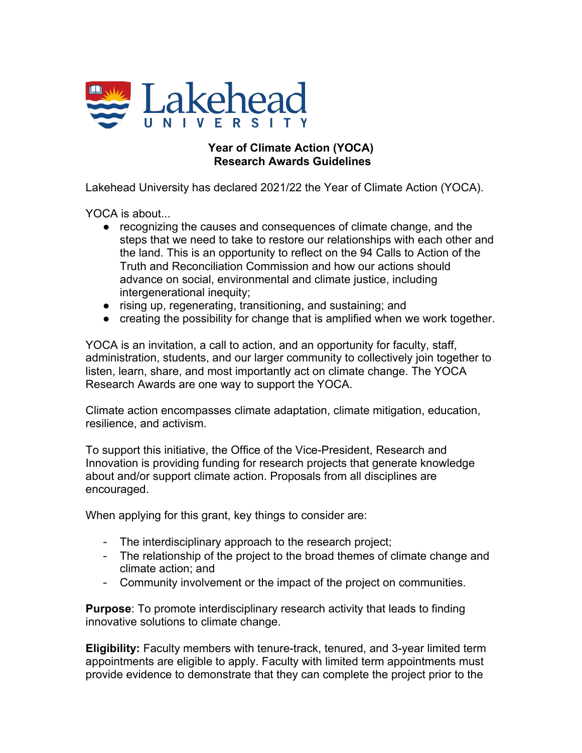

## **Year of Climate Action (YOCA) Research Awards Guidelines**

Lakehead University has declared 2021/22 the Year of Climate Action (YOCA).

YOCA is about...

- recognizing the causes and consequences of climate change, and the steps that we need to take to restore our relationships with each other and the land. This is an opportunity to reflect on the 94 Calls to Action of the Truth and Reconciliation Commission and how our actions should advance on social, environmental and climate justice, including intergenerational inequity;
- rising up, regenerating, transitioning, and sustaining; and
- creating the possibility for change that is amplified when we work together.

YOCA is an invitation, a call to action, and an opportunity for faculty, staff, administration, students, and our larger community to collectively join together to listen, learn, share, and most importantly act on climate change. The YOCA Research Awards are one way to support the YOCA.

Climate action encompasses climate adaptation, climate mitigation, education, resilience, and activism.

To support this initiative, the Office of the Vice-President, Research and Innovation is providing funding for research projects that generate knowledge about and/or support climate action. Proposals from all disciplines are encouraged.

When applying for this grant, key things to consider are:

- The interdisciplinary approach to the research project;
- The relationship of the project to the broad themes of climate change and climate action; and
- Community involvement or the impact of the project on communities.

**Purpose**: To promote interdisciplinary research activity that leads to finding innovative solutions to climate change.

**Eligibility:** Faculty members with tenure-track, tenured, and 3-year limited term appointments are eligible to apply. Faculty with limited term appointments must provide evidence to demonstrate that they can complete the project prior to the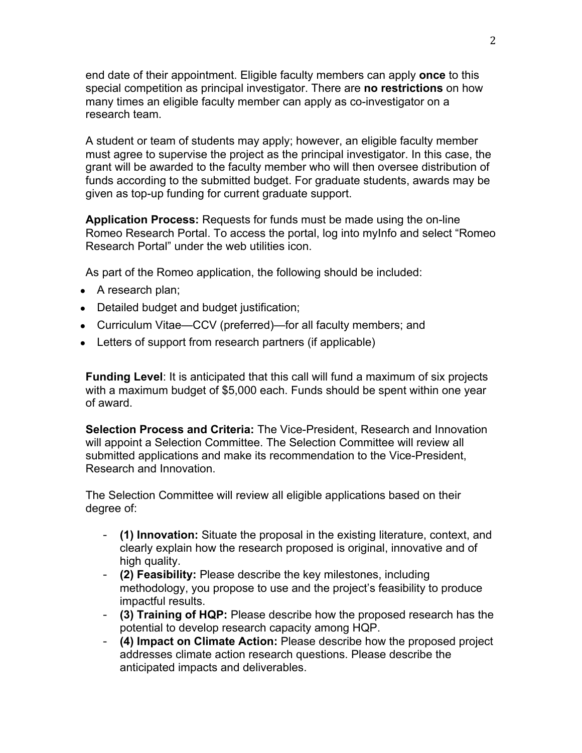end date of their appointment. Eligible faculty members can apply **once** to this special competition as principal investigator. There are **no restrictions** on how many times an eligible faculty member can apply as co-investigator on a research team.

A student or team of students may apply; however, an eligible faculty member must agree to supervise the project as the principal investigator. In this case, the grant will be awarded to the faculty member who will then oversee distribution of funds according to the submitted budget. For graduate students, awards may be given as top-up funding for current graduate support.

**Application Process:** Requests for funds must be made using the on-line Romeo Research Portal. To access the portal, log into myInfo and select "Romeo Research Portal" under the web utilities icon.

As part of the Romeo application, the following should be included:

- A research plan;
- Detailed budget and budget justification;
- Curriculum Vitae—CCV (preferred)—for all faculty members; and
- Letters of support from research partners (if applicable)

**Funding Level**: It is anticipated that this call will fund a maximum of six projects with a maximum budget of \$5,000 each. Funds should be spent within one year of award.

**Selection Process and Criteria:** The Vice-President, Research and Innovation will appoint a Selection Committee. The Selection Committee will review all submitted applications and make its recommendation to the Vice-President, Research and Innovation.

The Selection Committee will review all eligible applications based on their degree of:

- **(1) Innovation:** Situate the proposal in the existing literature, context, and clearly explain how the research proposed is original, innovative and of high quality.
- **(2) Feasibility:** Please describe the key milestones, including methodology, you propose to use and the project's feasibility to produce impactful results.
- **(3) Training of HQP:** Please describe how the proposed research has the potential to develop research capacity among HQP.
- **(4) Impact on Climate Action:** Please describe how the proposed project addresses climate action research questions. Please describe the anticipated impacts and deliverables.